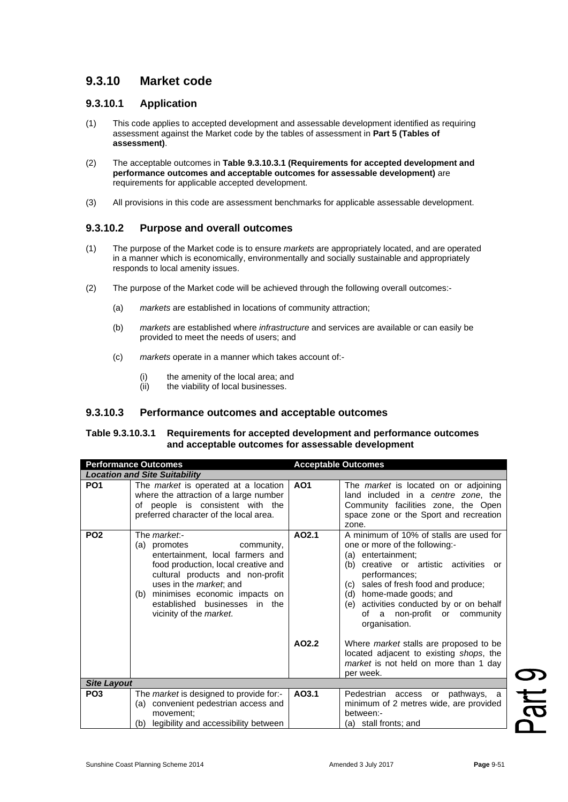# **9.3.10 Market code**

### **9.3.10.1 Application**

- (1) This code applies to accepted development and assessable development identified as requiring assessment against the Market code by the tables of assessment in **Part 5 (Tables of assessment)**.
- (2) The acceptable outcomes in **Table 9.3.10.3.1 (Requirements for accepted development and performance outcomes and acceptable outcomes for assessable development)** are requirements for applicable accepted development.
- (3) All provisions in this code are assessment benchmarks for applicable assessable development.

## **9.3.10.2 Purpose and overall outcomes**

- (1) The purpose of the Market code is to ensure *markets* are appropriately located, and are operated in a manner which is economically, environmentally and socially sustainable and appropriately responds to local amenity issues.
- (2) The purpose of the Market code will be achieved through the following overall outcomes:-
	- (a) *markets* are established in locations of community attraction;
	- (b) *markets* are established where *infrastructure* and services are available or can easily be provided to meet the needs of users; and
	- (c) *markets* operate in a manner which takes account of:-
		- (i) the amenity of the local area; and
		- (ii) the viability of local businesses.

#### **9.3.10.3 Performance outcomes and acceptable outcomes**

#### **Table 9.3.10.3.1 Requirements for accepted development and performance outcomes and acceptable outcomes for assessable development**

| <b>Performance Outcomes</b>          |                                                                                                                                                                                                                                                                                               | <b>Acceptable Outcomes</b> |                                                                                                                                                                                                                                                                                                                                  |  |  |
|--------------------------------------|-----------------------------------------------------------------------------------------------------------------------------------------------------------------------------------------------------------------------------------------------------------------------------------------------|----------------------------|----------------------------------------------------------------------------------------------------------------------------------------------------------------------------------------------------------------------------------------------------------------------------------------------------------------------------------|--|--|
| <b>Location and Site Suitability</b> |                                                                                                                                                                                                                                                                                               |                            |                                                                                                                                                                                                                                                                                                                                  |  |  |
| PO <sub>1</sub>                      | The <i>market</i> is operated at a location<br>where the attraction of a large number<br>of people is consistent with the<br>preferred character of the local area.                                                                                                                           | A01                        | The market is located on or adjoining<br>land included in a centre zone, the<br>Community facilities zone, the Open<br>space zone or the Sport and recreation<br>zone.                                                                                                                                                           |  |  |
| PO <sub>2</sub>                      | The market:-<br>(a) promotes<br>community,<br>entertainment, local farmers and<br>food production, local creative and<br>cultural products and non-profit<br>uses in the <i>market</i> ; and<br>(b) minimises economic impacts on<br>established businesses in the<br>vicinity of the market. | AO2.1                      | A minimum of 10% of stalls are used for<br>one or more of the following:-<br>(a) entertainment;<br>(b) creative or artistic activities or<br>performances;<br>sales of fresh food and produce;<br>(c) =<br>(d) home-made goods; and<br>(e) activities conducted by or on behalf<br>of a non-profit or community<br>organisation. |  |  |
|                                      |                                                                                                                                                                                                                                                                                               | AO2.2                      | Where <i>market</i> stalls are proposed to be<br>located adjacent to existing shops, the<br>market is not held on more than 1 day<br>per week.                                                                                                                                                                                   |  |  |
| <b>Site Layout</b>                   |                                                                                                                                                                                                                                                                                               |                            |                                                                                                                                                                                                                                                                                                                                  |  |  |
| PO <sub>3</sub>                      | The <i>market</i> is designed to provide for:-<br>(a) convenient pedestrian access and<br>movement:<br>legibility and accessibility between<br>(b)                                                                                                                                            | AO3.1                      | Pedestrian access or pathways, a<br>minimum of 2 metres wide, are provided<br>between:-<br>(a) stall fronts; and                                                                                                                                                                                                                 |  |  |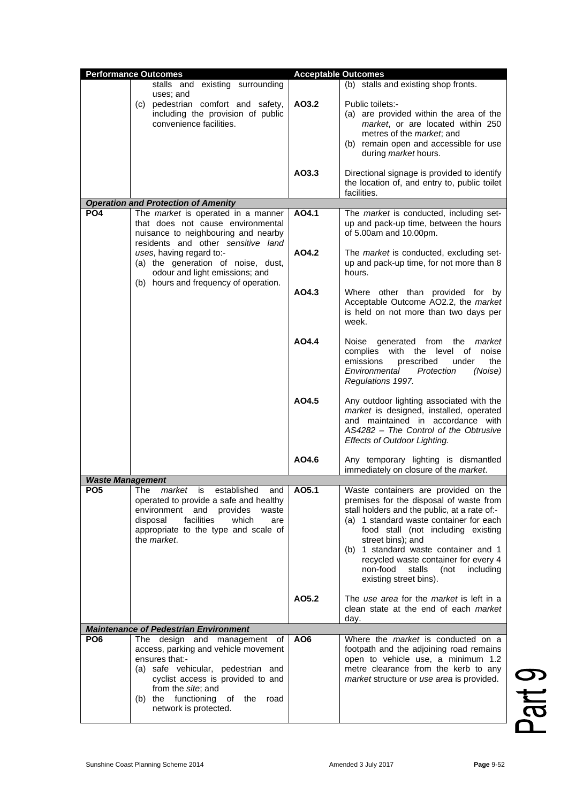|                         | <b>Performance Outcomes</b>                                                                                                                                                                                                                                                                       | <b>Acceptable Outcomes</b> |                                                                                                                                                                                                                                                                                                                                                                                            |
|-------------------------|---------------------------------------------------------------------------------------------------------------------------------------------------------------------------------------------------------------------------------------------------------------------------------------------------|----------------------------|--------------------------------------------------------------------------------------------------------------------------------------------------------------------------------------------------------------------------------------------------------------------------------------------------------------------------------------------------------------------------------------------|
|                         | stalls and existing surrounding                                                                                                                                                                                                                                                                   |                            | (b) stalls and existing shop fronts.                                                                                                                                                                                                                                                                                                                                                       |
|                         | uses; and<br>(c) pedestrian comfort and safety,<br>including the provision of public<br>convenience facilities.                                                                                                                                                                                   | AO3.2                      | Public toilets:-<br>(a) are provided within the area of the<br>market, or are located within 250<br>metres of the <i>market</i> ; and<br>(b) remain open and accessible for use<br>during market hours.                                                                                                                                                                                    |
|                         |                                                                                                                                                                                                                                                                                                   | AO3.3                      | Directional signage is provided to identify<br>the location of, and entry to, public toilet<br>facilities.                                                                                                                                                                                                                                                                                 |
|                         | <b>Operation and Protection of Amenity</b>                                                                                                                                                                                                                                                        |                            |                                                                                                                                                                                                                                                                                                                                                                                            |
| PO <sub>4</sub>         | The market is operated in a manner<br>that does not cause environmental<br>nuisance to neighbouring and nearby<br>residents and other sensitive land<br>uses, having regard to:-<br>(a) the generation of noise, dust,<br>odour and light emissions; and<br>(b) hours and frequency of operation. | AO4.1                      | The market is conducted, including set-<br>up and pack-up time, between the hours<br>of 5.00am and 10.00pm.                                                                                                                                                                                                                                                                                |
|                         |                                                                                                                                                                                                                                                                                                   | AO4.2                      | The market is conducted, excluding set-<br>up and pack-up time, for not more than 8<br>hours.                                                                                                                                                                                                                                                                                              |
|                         |                                                                                                                                                                                                                                                                                                   | AO4.3                      | Where other than provided for by<br>Acceptable Outcome AO2.2, the market<br>is held on not more than two days per<br>week.                                                                                                                                                                                                                                                                 |
|                         |                                                                                                                                                                                                                                                                                                   | AO4.4                      | generated from<br>Noise<br>the<br>market<br>with the level<br>complies<br>of<br>noise<br>emissions<br>prescribed<br>the<br>under<br>Protection<br>(Noise)<br>Environmental<br>Regulations 1997.                                                                                                                                                                                            |
|                         |                                                                                                                                                                                                                                                                                                   | AO4.5                      | Any outdoor lighting associated with the<br>market is designed, installed, operated<br>and maintained in accordance with<br>AS4282 - The Control of the Obtrusive<br>Effects of Outdoor Lighting.                                                                                                                                                                                          |
|                         |                                                                                                                                                                                                                                                                                                   | AO4.6                      | Any temporary lighting is dismantled<br>immediately on closure of the market.                                                                                                                                                                                                                                                                                                              |
| <b>Waste Management</b> |                                                                                                                                                                                                                                                                                                   |                            |                                                                                                                                                                                                                                                                                                                                                                                            |
| PO <sub>5</sub>         | The<br>established<br>market<br>is<br>and  <br>operated to provide a safe and healthy<br>environment and provides<br>waste<br>facilities<br>which<br>disposal<br>are<br>appropriate to the type and scale of<br>the <i>market</i> .                                                               | AO5.1                      | Waste containers are provided on the<br>premises for the disposal of waste from<br>stall holders and the public, at a rate of:-<br>(a) 1 standard waste container for each<br>food stall (not including existing<br>street bins); and<br>(b) 1 standard waste container and 1<br>recycled waste container for every 4<br>non-food<br>stalls<br>(not<br>including<br>existing street bins). |
|                         |                                                                                                                                                                                                                                                                                                   | AO5.2                      | The use area for the market is left in a<br>clean state at the end of each market<br>day.                                                                                                                                                                                                                                                                                                  |
|                         | <b>Maintenance of Pedestrian Environment</b>                                                                                                                                                                                                                                                      |                            |                                                                                                                                                                                                                                                                                                                                                                                            |
| PO <sub>6</sub>         | The design and management of<br>access, parking and vehicle movement<br>ensures that:-<br>(a) safe vehicular, pedestrian and<br>cyclist access is provided to and<br>from the site; and<br>(b) the functioning of the<br>road<br>network is protected.                                            | AO <sub>6</sub>            | Where the <i>market</i> is conducted on a<br>footpath and the adjoining road remains<br>open to vehicle use, a minimum 1.2<br>metre clearance from the kerb to any<br>market structure or use area is provided.                                                                                                                                                                            |